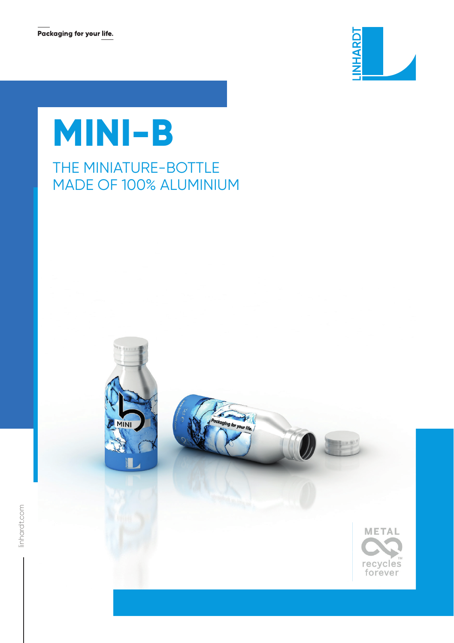

# **MINI-B**

## THE MINIATURE-BOTTLE MADE OF 100% ALUMINIUM